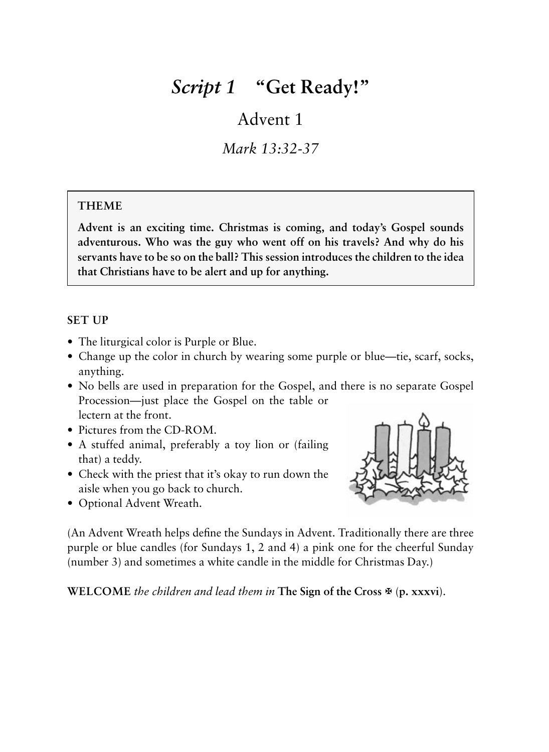# *Script 1* **"Get Ready!"**

# Advent 1

*Mark 13:32-37*

# **THEME**

**Advent is an exciting time. Christmas is coming, and today's Gospel sounds adventurous. Who was the guy who went off on his travels? And why do his servants have to be so on the ball? This session introduces the children to the idea that Christians have to be alert and up for anything.**

#### **SET UP**

- The liturgical color is Purple or Blue.
- Change up the color in church by wearing some purple or blue—tie, scarf, socks, anything.
- No bells are used in preparation for the Gospel, and there is no separate Gospel Procession—just place the Gospel on the table or lectern at the front.
- Pictures from the CD-ROM.
- A stuffed animal, preferably a toy lion or (failing that) a teddy.
- Check with the priest that it's okay to run down the aisle when you go back to church.
- Optional Advent Wreath.



(An Advent Wreath helps define the Sundays in Advent. Traditionally there are three purple or blue candles (for Sundays 1, 2 and 4) a pink one for the cheerful Sunday (number 3) and sometimes a white candle in the middle for Christmas Day.)

**WELCOME** *the children and lead them in* **The Sign of the Cross**  $\mathfrak{B}$  **(p. xxxvi).**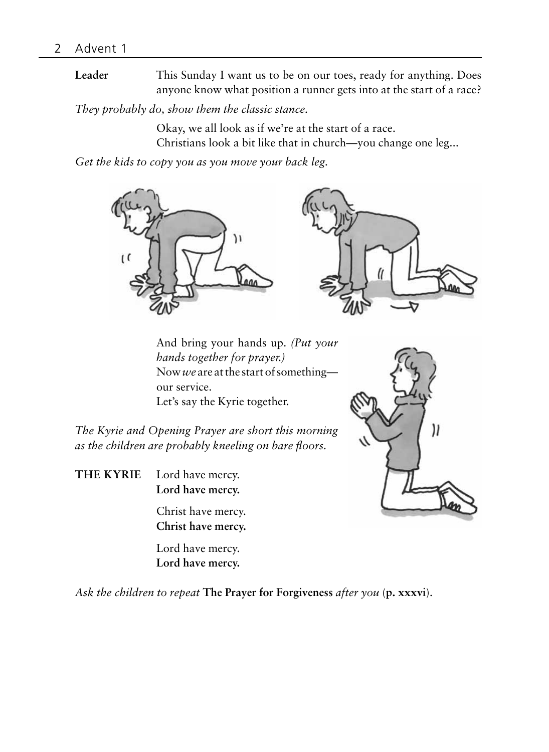**Leader** This Sunday I want us to be on our toes, ready for anything. Does anyone know what position a runner gets into at the start of a race?

*They probably do, show them the classic stance.*

Okay, we all look as if we're at the start of a race. Christians look a bit like that in church—you change one leg...

*Get the kids to copy you as you move your back leg.*



And bring your hands up. *(Put your hands together for prayer.)* Now *we* are at the start of something our service. Let's say the Kyrie together.

11

*The Kyrie and Opening Prayer are short this morning as the children are probably kneeling on bare floors.*

**THE KYRIE** Lord have mercy. **Lord have mercy.**

> Christ have mercy. **Christ have mercy.**

Lord have mercy. **Lord have mercy.**

*Ask the children to repeat* **The Prayer for Forgiveness** *after you* (**p. xxxvi**).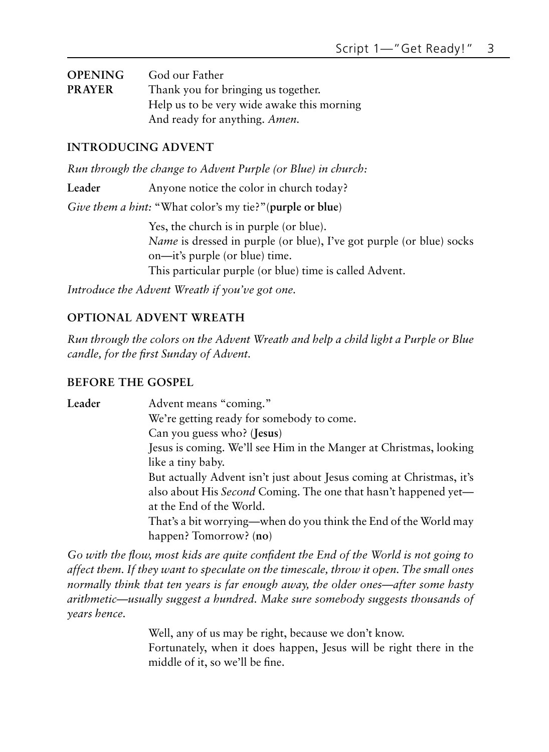| <b>OPENING</b> | God our Father                             |
|----------------|--------------------------------------------|
| <b>PRAYER</b>  | Thank you for bringing us together.        |
|                | Help us to be very wide awake this morning |
|                | And ready for anything. Amen.              |

#### **INTRODUCING ADVENT**

*Run through the change to Advent Purple (or Blue) in church:*

Leader Anyone notice the color in church today?

*Give them a hint:* "What color's my tie?"(**purple or blue**)

Yes, the church is in purple (or blue). *Name* is dressed in purple (or blue), I've got purple (or blue) socks on—it's purple (or blue) time. This particular purple (or blue) time is called Advent.

*Introduce the Advent Wreath if you've got one.*

#### **Optional Advent Wreath**

*Run through the colors on the Advent Wreath and help a child light a Purple or Blue candle, for the first Sunday of Advent.*

#### **BEFORE THE GOSPEL**

Leader Advent means "coming." We're getting ready for somebody to come. Can you guess who? (**Jesus**) Jesus is coming. We'll see Him in the Manger at Christmas, looking like a tiny baby. But actually Advent isn't just about Jesus coming at Christmas, it's also about His *Second* Coming. The one that hasn't happened yet at the End of the World. That's a bit worrying—when do you think the End of the World may happen? Tomorrow? (**no**)

*Go with the flow, most kids are quite confident the End of the World is not going to affect them. If they want to speculate on the timescale, throw it open. The small ones normally think that ten years is far enough away, the older ones—after some hasty arithmetic—usually suggest a hundred. Make sure somebody suggests thousands of years hence.*

> Well, any of us may be right, because we don't know. Fortunately, when it does happen, Jesus will be right there in the middle of it, so we'll be fine.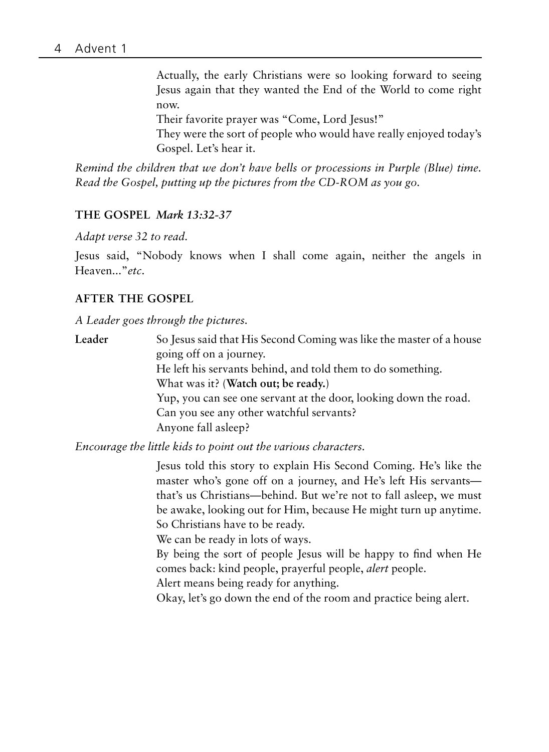Actually, the early Christians were so looking forward to seeing Jesus again that they wanted the End of the World to come right now.

Their favorite prayer was "Come, Lord Jesus!"

They were the sort of people who would have really enjoyed today's Gospel. Let's hear it.

*Remind the children that we don't have bells or processions in Purple (Blue) time. Read the Gospel, putting up the pictures from the CD-ROM as you go.*

#### **THE GOSPEL** *Mark 13:32-37*

*Adapt verse 32 to read.*

Jesus said, "Nobody knows when I shall come again, neither the angels in Heaven..."*etc*.

#### **AFTER THE GOSPEL**

*A Leader goes through the pictures.*

**Leader** So Jesus said that His Second Coming was like the master of a house going off on a journey. He left his servants behind, and told them to do something. What was it? (**Watch out; be ready.**) Yup, you can see one servant at the door, looking down the road. Can you see any other watchful servants? Anyone fall asleep?

*Encourage the little kids to point out the various characters.*

Jesus told this story to explain His Second Coming. He's like the master who's gone off on a journey, and He's left His servants that's us Christians—behind. But we're not to fall asleep, we must be awake, looking out for Him, because He might turn up anytime. So Christians have to be ready.

We can be ready in lots of ways.

By being the sort of people Jesus will be happy to find when He comes back: kind people, prayerful people, *alert* people.

Alert means being ready for anything.

Okay, let's go down the end of the room and practice being alert.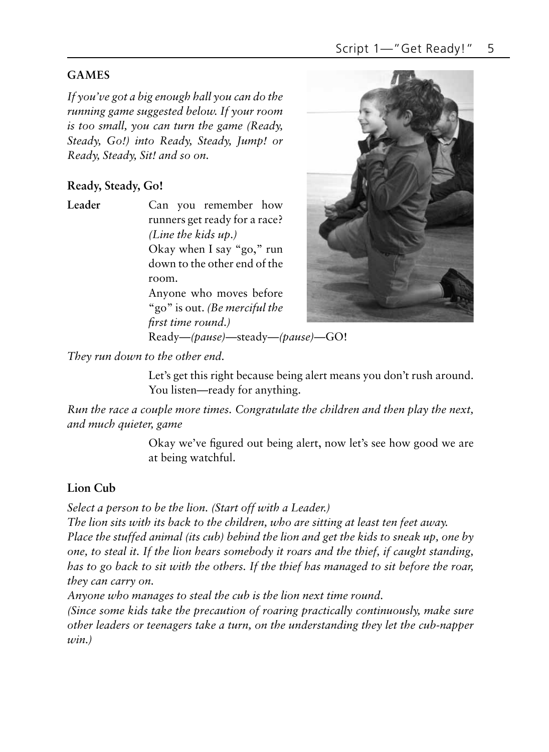# **Games**

*If you've got a big enough hall you can do the running game suggested below. If your room is too small, you can turn the game (Ready, Steady, Go!) into Ready, Steady, Jump! or Ready, Steady, Sit! and so on.*

# **Ready, Steady, Go!**

**Leader** Can you remember how runners get ready for a race? *(Line the kids up.)* Okay when I say "go," run down to the other end of the room.

> Anyone who moves before "go" is out. *(Be merciful the first time round.)* Ready—*(pause)*—steady—*(pause)—*GO!



*They run down to the other end.*

Let's get this right because being alert means you don't rush around. You listen—ready for anything.

*Run the race a couple more times. Congratulate the children and then play the next, and much quieter, game*

> Okay we've figured out being alert, now let's see how good we are at being watchful.

# **Lion Cub**

*Select a person to be the lion. (Start off with a Leader.)* 

*The lion sits with its back to the children, who are sitting at least ten feet away. Place the stuffed animal (its cub) behind the lion and get the kids to sneak up, one by one, to steal it. If the lion hears somebody it roars and the thief, if caught standing, has to go back to sit with the others. If the thief has managed to sit before the roar, they can carry on.*

*Anyone who manages to steal the cub is the lion next time round.*

*(Since some kids take the precaution of roaring practically continuously, make sure other leaders or teenagers take a turn, on the understanding they let the cub-napper win.)*